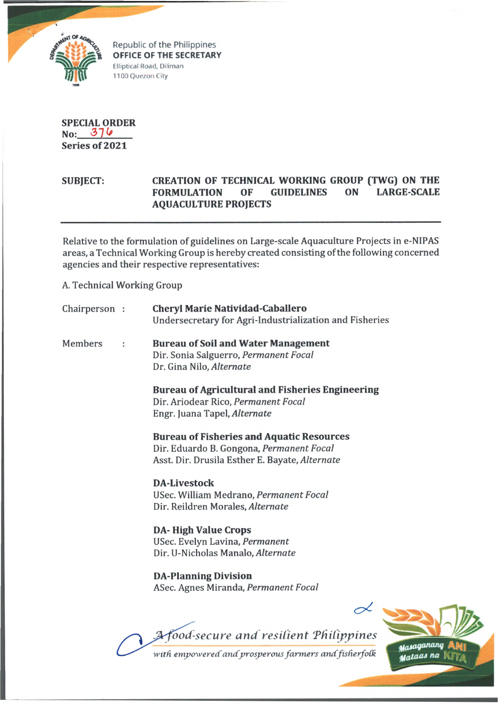

Republic of the Philippines **OFFICE OF THE SECRETARY** Elliptical Road, Diliman 1100 Quezon City

**SPECIAL ORDER No: <37 Series of 2021**

## **SUBJECT: CREATION OF TECHNICAL WORKING GROUP (TWG) ON THE FORMULATION OF GUIDELINES ON LARGE-SCALE AQUACULTURE PROJECTS**

Relative to the formulation of guidelines on Large-scale Aquaculture Projects in e-NIPAS areas, a Technical Working Group is hereby created consisting of the following concerned agencies and their respective representatives:

A. Technical Working Group

|         | Chairperson : | <b>Cheryl Marie Natividad-Caballero</b><br>Undersecretary for Agri-Industrialization and Fisheries                                             |
|---------|---------------|------------------------------------------------------------------------------------------------------------------------------------------------|
| Members |               | <b>Bureau of Soil and Water Management</b><br>Dir. Sonia Salguerro, Permanent Focal<br>Dr. Gina Nilo, Alternate                                |
|         |               | <b>Bureau of Agricultural and Fisheries Engineering</b><br>Dir. Ariodear Rico, Permanent Focal<br>Engr. Juana Tapel, Alternate                 |
|         |               | <b>Bureau of Fisheries and Aquatic Resources</b><br>Dir. Eduardo B. Gongona, Permanent Focal<br>Asst. Dir. Drusila Esther E. Bayate, Alternate |
|         |               | <b>DA-Livestock</b><br>USec. William Medrano, Permanent Focal<br>Dir. Reildren Morales, Alternate                                              |
|         |               | <b>DA-High Value Crops</b><br>USec. Evelyn Lavina, Permanent<br>Dir. U-Nicholas Manalo, Alternate                                              |
|         |               | <b>DA-Planning Division</b><br>ASec. Agnes Miranda, Permanent Focal                                                                            |
|         |               | Afood-secure and resilient Philippines<br>uanganang                                                                                            |

with empowered and prosperous farmers and fisherfolk

**Malaas** na